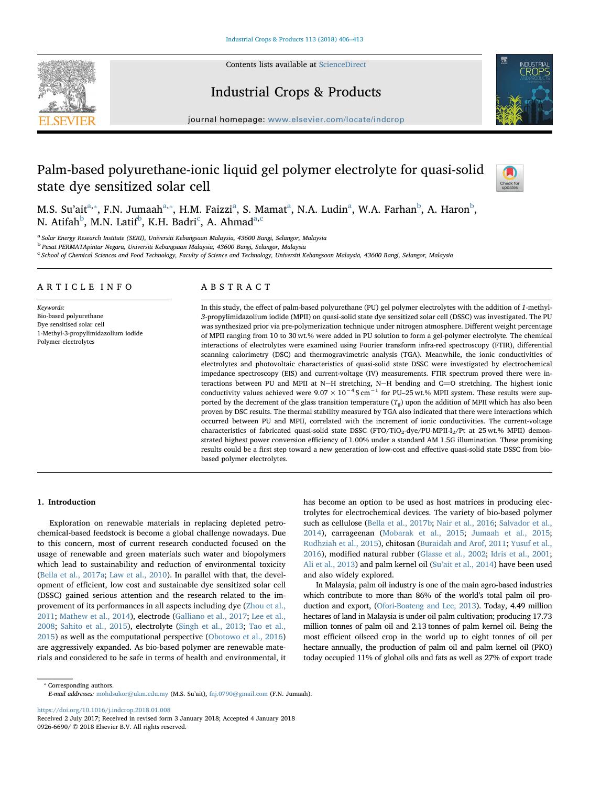Contents lists available at [ScienceDirect](http://www.sciencedirect.com/science/journal/09266690)





# Industrial Crops & Products

journal homepage: [www.elsevier.com/locate/indcrop](https://www.elsevier.com/locate/indcrop)

# Palm-based polyurethane-ionic liquid gel polymer electrolyte for quasi-solid state dye sensitized solar cell



M.S. Su'ait $^{\rm a, *},$  F.N. Jumaah $^{\rm a, *},$  H.M. Faizzi $^{\rm a}$ , S. Mamat $^{\rm a}$ , N.A. Ludin $^{\rm a}$ , W.A. Farhan $^{\rm b}$ , A. Haron $^{\rm b}$ , N. Atifah $^{\rm b}$ , M.N. Latif $^{\rm b}$ , K.H. Badri $^{\rm c}$ , A. Ahmad $^{\rm a,c}$ 

<sup>a</sup> Solar Energy Research Institute (SERI), Universiti Kebangsaan Malaysia, 43600 Bangi, Selangor, Malaysia

<sup>b</sup> Pusat PERMATApintar Negara, Universiti Kebangsaan Malaysia, 43600 Bangi, Selangor, Malaysia

c School of Chemical Sciences and Food Technology, Faculty of Science and Technology, Universiti Kebangsaan Malaysia, 43600 Bangi, Selangor, Malaysia

# ARTICLE INFO

Keywords: Bio-based polyurethane Dye sensitised solar cell 1-Methyl-3-propylimidazolium iodide Polymer electrolytes

## ABSTRACT

In this study, the effect of palm-based polyurethane (PU) gel polymer electrolytes with the addition of 1-methyl-3-propylimidazolium iodide (MPII) on quasi-solid state dye sensitized solar cell (DSSC) was investigated. The PU was synthesized prior via pre-polymerization technique under nitrogen atmosphere. Different weight percentage of MPII ranging from 10 to 30 wt.% were added in PU solution to form a gel-polymer electrolyte. The chemical interactions of electrolytes were examined using Fourier transform infra-red spectroscopy (FTIR), differential scanning calorimetry (DSC) and thermogravimetric analysis (TGA). Meanwhile, the ionic conductivities of electrolytes and photovoltaic characteristics of quasi-solid state DSSC were investigated by electrochemical impedance spectroscopy (EIS) and current-voltage (IV) measurements. FTIR spectrum proved there were interactions between PU and MPII at N−H stretching, N−H bending and C=O stretching. The highest ionic<br>conductivity values achieved were 9.07 × 10<sup>−4</sup> S cm<sup>−1</sup> for PU–25 wt.% MPII system. These results were supported by the decrement of the glass transition temperature  $(T_g)$  upon the addition of MPII which has also been proven by DSC results. The thermal stability measured by TGA also indicated that there were interactions which occurred between PU and MPII, correlated with the increment of ionic conductivities. The current-voltage characteristics of fabricated quasi-solid state DSSC (FTO/TiO<sub>2</sub>-dye/PU-MPII-I<sub>2</sub>/Pt at 25 wt.% MPII) demonstrated highest power conversion efficiency of 1.00% under a standard AM 1.5G illumination. These promising results could be a first step toward a new generation of low-cost and effective quasi-solid state DSSC from biobased polymer electrolytes.

#### 1. Introduction

Exploration on renewable materials in replacing depleted petrochemical-based feedstock is become a global challenge nowadays. Due to this concern, most of current research conducted focused on the usage of renewable and green materials such water and biopolymers which lead to sustainability and reduction of environmental toxicity (Bella et al., 2017a; Law et al., 2010). In parallel with that, the development of efficient, low cost and sustainable dye sensitized solar cell (DSSC) gained serious attention and the research related to the improvement of its performances in all aspects including dye (Zhou et al., 2011; Mathew et al., 2014), electrode (Galliano et al., 2017; Lee et al., 2008; Sahito et al., 2015), electrolyte (Singh et al., 2013; Tao et al., 2015) as well as the computational perspective (Obotowo et al., 2016) are aggressively expanded. As bio-based polymer are renewable materials and considered to be safe in terms of health and environmental, it has become an option to be used as host matrices in producing electrolytes for electrochemical devices. The variety of bio-based polymer such as cellulose (Bella et al., 2017b; Nair et al., 2016; Salvador et al., 2014), carrageenan (Mobarak et al., 2015; Jumaah et al., 2015; Rudhziah et al., 2015), chitosan (Buraidah and Arof, 2011; Yusuf et al., 2016), modified natural rubber (Glasse et al., 2002; Idris et al., 2001; Ali et al., 2013) and palm kernel oil (Su'ait et al., 2014) have been used and also widely explored.

In Malaysia, palm oil industry is one of the main agro-based industries which contribute to more than 86% of the world's total palm oil production and export, (Ofori-Boateng and Lee, 2013). Today, 4.49 million hectares of land in Malaysia is under oil palm cultivation; producing 17.73 million tonnes of palm oil and 2.13 tonnes of palm kernel oil. Being the most efficient oilseed crop in the world up to eight tonnes of oil per hectare annually, the production of palm oil and palm kernel oil (PKO) today occupied 11% of global oils and fats as well as 27% of export trade

⁎ Corresponding authors. E-mail addresses: [mohdsukor@ukm.edu.my](mailto:mohdsukor@ukm.edu.my) (M.S. Su'ait), [fnj.0790@gmail.com](mailto:fnj.0790@gmail.com) (F.N. Jumaah).

<https://doi.org/10.1016/j.indcrop.2018.01.008>

Received 2 July 2017; Received in revised form 3 January 2018; Accepted 4 January 2018 0926-6690/ © 2018 Elsevier B.V. All rights reserved.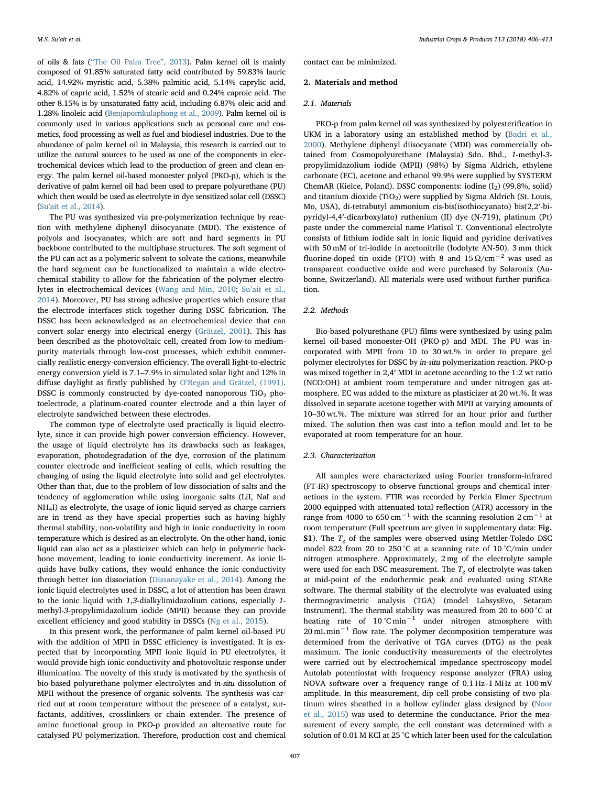of oils & fats ("The Oil Palm Tree", 2013). Palm kernel oil is mainly composed of 91.85% saturated fatty acid contributed by 59.83% lauric acid, 14.92% myristic acid, 5.38% palmitic acid, 5.14% caprylic acid, 4.82% of capric acid, 1.52% of stearic acid and 0.24% caproic acid. The other 8.15% is by unsaturated fatty acid, including 6.87% oleic acid and 1.28% linoleic acid (Benjapornkulaphong et al., 2009). Palm kernel oil is commonly used in various applications such as personal care and cosmetics, food processing as well as fuel and biodiesel industries. Due to the abundance of palm kernel oil in Malaysia, this research is carried out to utilize the natural sources to be used as one of the components in electrochemical devices which lead to the production of green and clean energy. The palm kernel oil-based monoester polyol (PKO-p), which is the derivative of palm kernel oil had been used to prepare polyurethane (PU) which then would be used as electrolyte in dye sensitized solar cell (DSSC) (Su'ait et al., 2014).

The PU was synthesized via pre-polymerization technique by reaction with methylene diphenyl diisocyanate (MDI). The existence of polyols and isocyanates, which are soft and hard segments in PU backbone contributed to the multiphase structures. The soft segment of the PU can act as a polymeric solvent to solvate the cations, meanwhile the hard segment can be functionalized to maintain a wide electrochemical stability to allow for the fabrication of the polymer electrolytes in electrochemical devices (Wang and Min, 2010; Su'ait et al., 2014). Moreover, PU has strong adhesive properties which ensure that the electrode interfaces stick together during DSSC fabrication. The DSSC has been acknowledged as an electrochemical device that can convert solar energy into electrical energy (Grätzel, 2001). This has been described as the photovoltaic cell, created from low-to mediumpurity materials through low-cost processes, which exhibit commercially realistic energy-conversion efficiency. The overall light-to-electric energy conversion yield is 7.1–7.9% in simulated solar light and 12% in diffuse daylight as firstly published by O'Regan and Grätzel, (1991). DSSC is commonly constructed by dye-coated nanoporous  $TiO<sub>2</sub>$  photoelectrode, a platinum-coated counter electrode and a thin layer of electrolyte sandwiched between these electrodes.

The common type of electrolyte used practically is liquid electrolyte, since it can provide high power conversion efficiency. However, the usage of liquid electrolyte has its drawbacks such as leakages, evaporation, photodegradation of the dye, corrosion of the platinum counter electrode and inefficient sealing of cells, which resulting the changing of using the liquid electrolyte into solid and gel electrolytes. Other than that, due to the problem of low dissociation of salts and the tendency of agglomeration while using inorganic salts (LiI, NaI and NH4I) as electrolyte, the usage of ionic liquid served as charge carriers are in trend as they have special properties such as having highly thermal stability, non-volatility and high in ionic conductivity in room temperature which is desired as an electrolyte. On the other hand, ionic liquid can also act as a plasticizer which can help in polymeric backbone movement, leading to ionic conductivity increment. As ionic liquids have bulky cations, they would enhance the ionic conductivity through better ion dissociation (Dissanayake et al., 2014). Among the ionic liquid electrolytes used in DSSC, a lot of attention has been drawn to the ionic liquid with 1,3-dialkylimidazolium cations, especially 1 methyl-3-propylimidazolium iodide (MPII) because they can provide excellent efficiency and good stability in DSSCs (Ng et al., 2015).

In this present work, the performance of palm kernel oil-based PU with the addition of MPII in DSSC efficiency is investigated. It is expected that by incorporating MPII ionic liquid in PU electrolytes, it would provide high ionic conductivity and photovoltaic response under illumination. The novelty of this study is motivated by the synthesis of bio-based polyurethane polymer electrolytes and in-situ dissolution of MPII without the presence of organic solvents. The synthesis was carried out at room temperature without the presence of a catalyst, surfactants, additives, crosslinkers or chain extender. The presence of amine functional group in PKO-p provided an alternative route for catalysed PU polymerization. Therefore, production cost and chemical

contact can be minimized.

#### 2. Materials and method

#### 2.1. Materials

PKO-p from palm kernel oil was synthesized by polyesterification in UKM in a laboratory using an established method by (Badri et al., 2000). Methylene diphenyl diisocyanate (MDI) was commercially obtained from Cosmopolyurethane (Malaysia) Sdn. Bhd., 1-methyl-3 propylimidazolium iodide (MPII) (98%) by Sigma Aldrich, ethylene carbonate (EC), acetone and ethanol 99.9% were supplied by SYSTERM ChemAR (Kielce, Poland). DSSC components: iodine  $(I_2)$  (99.8%, solid) and titanium dioxide (TiO<sub>2</sub>) were supplied by Sigma Aldrich (St. Louis, Mo, USA), di-tetrabutyl ammonium cis-bis(isothiocyanato) bis(2,2′-bipyridyl-4,4′-dicarboxylato) ruthenium (II) dye (N-719), platinum (Pt) paste under the commercial name Platisol T. Conventional electrolyte consists of lithium iodide salt in ionic liquid and pyridine derivatives with 50 mM of tri-iodide in acetonitrile (Iodolyte AN-50). 3 mm thick fluorine-doped tin oxide (FTO) with 8 and  $15 \Omega/cm^{-2}$  was used as transparent conductive oxide and were purchased by Solaronix (Aubonne, Switzerland). All materials were used without further purification.

## 2.2. Methods

Bio-based polyurethane (PU) films were synthesized by using palm kernel oil-based monoester-OH (PKO-p) and MDI. The PU was incorporated with MPII from 10 to 30 wt.% in order to prepare gel polymer electrolytes for DSSC by in-situ polymerization reaction. PKO-p was mixed together in 2,4′ MDI in acetone according to the 1:2 wt ratio (NCO:OH) at ambient room temperature and under nitrogen gas atmosphere. EC was added to the mixture as plasticizer at 20 wt.%. It was dissolved in separate acetone together with MPII at varying amounts of 10–30 wt.%. The mixture was stirred for an hour prior and further mixed. The solution then was cast into a teflon mould and let to be evaporated at room temperature for an hour.

### 2.3. Characterization

All samples were characterized using Fourier transform-infrared (FT-IR) spectroscopy to observe functional groups and chemical interactions in the system. FTIR was recorded by Perkin Elmer Spectrum 2000 equipped with attenuated total reflection (ATR) accessory in the range from 4000 to 650 cm<sup>-1</sup> with the scanning resolution  $2 \text{ cm}^{-1}$  at room temperature (Full spectrum are given in supplementary data: Fig. **S1**). The  $T_g$  of the samples were observed using Mettler-Toledo DSC model 822 from 20 to 250 °C at a scanning rate of 10 °C/min under nitrogen atmosphere. Approximately, 2 mg of the electrolyte sample were used for each DSC measurement. The  $T_g$  of electrolyte was taken at mid-point of the endothermic peak and evaluated using STARe software. The thermal stability of the electrolyte was evaluated using thermogravimetric analysis (TGA) (model LabsysEvo, Setaram Instrument). The thermal stability was measured from 20 to 600 °C at heating rate of 10 °C min−<sup>1</sup> under nitrogen atmosphere with 20 mL min<sup>-1</sup> flow rate. The polymer decomposition temperature was determined from the derivative of TGA curves (DTG) as the peak maximum. The ionic conductivity measurements of the electrolytes were carried out by electrochemical impedance spectroscopy model Autolab potentiostat with frequency response analyzer (FRA) using NOVA software over a frequency range of 0.1 Hz–1 MHz at 100 mV amplitude. In this measurement, dip cell probe consisting of two platinum wires sheathed in a hollow cylinder glass designed by (Noor et al., 2015) was used to determine the conductance. Prior the measurement of every sample, the cell constant was determined with a solution of 0.01 M KCl at 25 °C which later been used for the calculation